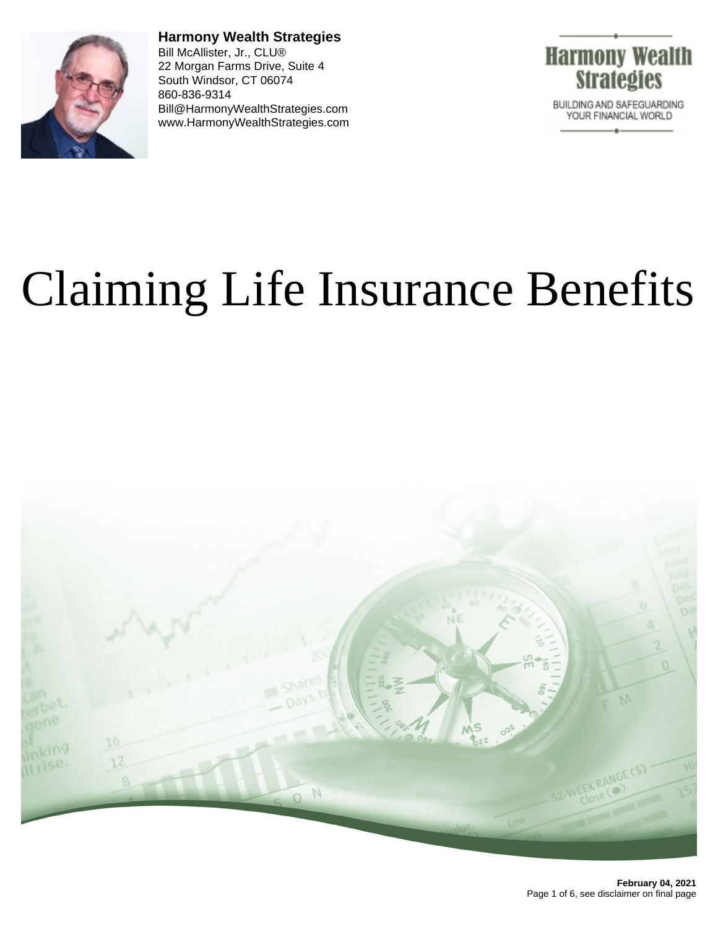

**Harmony Wealth Strategies** Bill McAllister, Jr., CLU® 22 Morgan Farms Drive, Suite 4 South Windsor, CT 06074 860-836-9314 Bill@HarmonyWealthStrategies.com www.HarmonyWealthStrategies.com



# Claiming Life Insurance Benefits

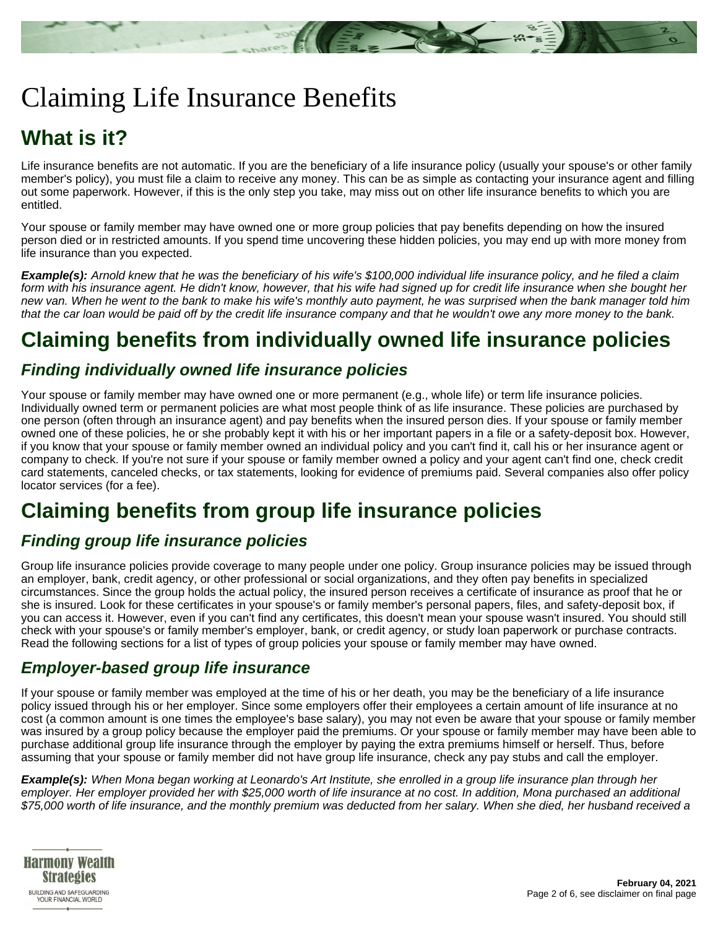

# Claiming Life Insurance Benefits

## **What is it?**

Life insurance benefits are not automatic. If you are the beneficiary of a life insurance policy (usually your spouse's or other family member's policy), you must file a claim to receive any money. This can be as simple as contacting your insurance agent and filling out some paperwork. However, if this is the only step you take, may miss out on other life insurance benefits to which you are entitled.

Your spouse or family member may have owned one or more group policies that pay benefits depending on how the insured person died or in restricted amounts. If you spend time uncovering these hidden policies, you may end up with more money from life insurance than you expected.

**Example(s):** Arnold knew that he was the beneficiary of his wife's \$100,000 individual life insurance policy, and he filed a claim form with his insurance agent. He didn't know, however, that his wife had signed up for credit life insurance when she bought her new van. When he went to the bank to make his wife's monthly auto payment, he was surprised when the bank manager told him that the car loan would be paid off by the credit life insurance company and that he wouldn't owe any more money to the bank.

## **Claiming benefits from individually owned life insurance policies**

#### **Finding individually owned life insurance policies**

Your spouse or family member may have owned one or more permanent (e.g., whole life) or term life insurance policies. Individually owned term or permanent policies are what most people think of as life insurance. These policies are purchased by one person (often through an insurance agent) and pay benefits when the insured person dies. If your spouse or family member owned one of these policies, he or she probably kept it with his or her important papers in a file or a safety-deposit box. However, if you know that your spouse or family member owned an individual policy and you can't find it, call his or her insurance agent or company to check. If you're not sure if your spouse or family member owned a policy and your agent can't find one, check credit card statements, canceled checks, or tax statements, looking for evidence of premiums paid. Several companies also offer policy locator services (for a fee).

## **Claiming benefits from group life insurance policies**

## **Finding group life insurance policies**

Group life insurance policies provide coverage to many people under one policy. Group insurance policies may be issued through an employer, bank, credit agency, or other professional or social organizations, and they often pay benefits in specialized circumstances. Since the group holds the actual policy, the insured person receives a certificate of insurance as proof that he or she is insured. Look for these certificates in your spouse's or family member's personal papers, files, and safety-deposit box, if you can access it. However, even if you can't find any certificates, this doesn't mean your spouse wasn't insured. You should still check with your spouse's or family member's employer, bank, or credit agency, or study loan paperwork or purchase contracts. Read the following sections for a list of types of group policies your spouse or family member may have owned.

#### **Employer-based group life insurance**

If your spouse or family member was employed at the time of his or her death, you may be the beneficiary of a life insurance policy issued through his or her employer. Since some employers offer their employees a certain amount of life insurance at no cost (a common amount is one times the employee's base salary), you may not even be aware that your spouse or family member was insured by a group policy because the employer paid the premiums. Or your spouse or family member may have been able to purchase additional group life insurance through the employer by paying the extra premiums himself or herself. Thus, before assuming that your spouse or family member did not have group life insurance, check any pay stubs and call the employer.

**Example(s):** When Mona began working at Leonardo's Art Institute, she enrolled in a group life insurance plan through her employer. Her employer provided her with \$25,000 worth of life insurance at no cost. In addition, Mona purchased an additional \$75,000 worth of life insurance, and the monthly premium was deducted from her salary. When she died, her husband received a

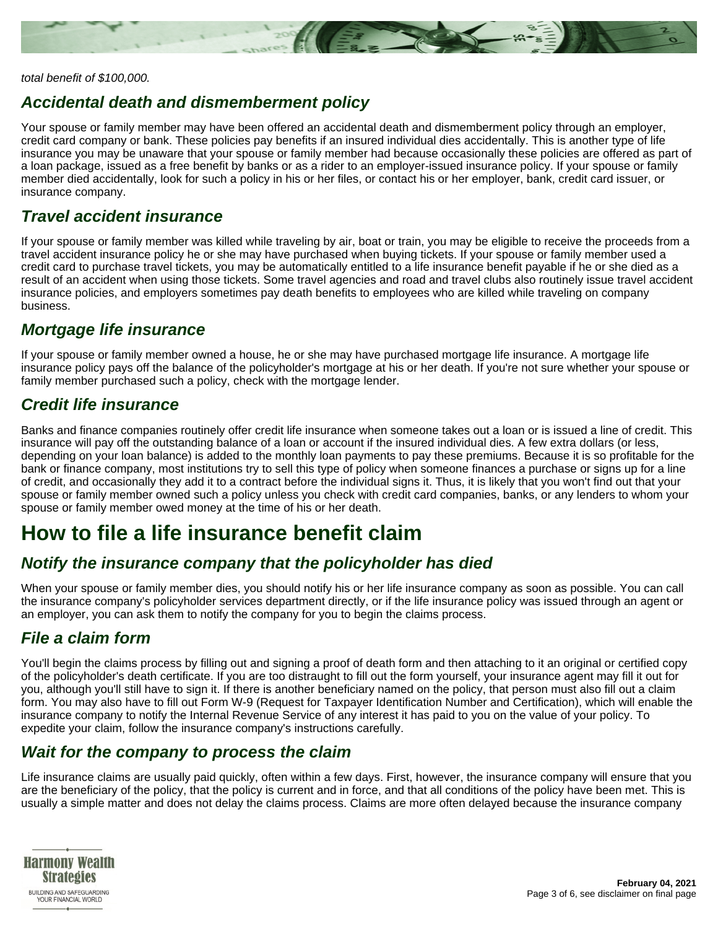

#### total benefit of \$100,000.

#### **Accidental death and dismemberment policy**

Your spouse or family member may have been offered an accidental death and dismemberment policy through an employer, credit card company or bank. These policies pay benefits if an insured individual dies accidentally. This is another type of life insurance you may be unaware that your spouse or family member had because occasionally these policies are offered as part of a loan package, issued as a free benefit by banks or as a rider to an employer-issued insurance policy. If your spouse or family member died accidentally, look for such a policy in his or her files, or contact his or her employer, bank, credit card issuer, or insurance company.

#### **Travel accident insurance**

If your spouse or family member was killed while traveling by air, boat or train, you may be eligible to receive the proceeds from a travel accident insurance policy he or she may have purchased when buying tickets. If your spouse or family member used a credit card to purchase travel tickets, you may be automatically entitled to a life insurance benefit payable if he or she died as a result of an accident when using those tickets. Some travel agencies and road and travel clubs also routinely issue travel accident insurance policies, and employers sometimes pay death benefits to employees who are killed while traveling on company business.

#### **Mortgage life insurance**

If your spouse or family member owned a house, he or she may have purchased mortgage life insurance. A mortgage life insurance policy pays off the balance of the policyholder's mortgage at his or her death. If you're not sure whether your spouse or family member purchased such a policy, check with the mortgage lender.

#### **Credit life insurance**

Banks and finance companies routinely offer credit life insurance when someone takes out a loan or is issued a line of credit. This insurance will pay off the outstanding balance of a loan or account if the insured individual dies. A few extra dollars (or less, depending on your loan balance) is added to the monthly loan payments to pay these premiums. Because it is so profitable for the bank or finance company, most institutions try to sell this type of policy when someone finances a purchase or signs up for a line of credit, and occasionally they add it to a contract before the individual signs it. Thus, it is likely that you won't find out that your spouse or family member owned such a policy unless you check with credit card companies, banks, or any lenders to whom your spouse or family member owed money at the time of his or her death.

## **How to file a life insurance benefit claim**

#### **Notify the insurance company that the policyholder has died**

When your spouse or family member dies, you should notify his or her life insurance company as soon as possible. You can call the insurance company's policyholder services department directly, or if the life insurance policy was issued through an agent or an employer, you can ask them to notify the company for you to begin the claims process.

## **File a claim form**

You'll begin the claims process by filling out and signing a proof of death form and then attaching to it an original or certified copy of the policyholder's death certificate. If you are too distraught to fill out the form yourself, your insurance agent may fill it out for you, although you'll still have to sign it. If there is another beneficiary named on the policy, that person must also fill out a claim form. You may also have to fill out Form W-9 (Request for Taxpayer Identification Number and Certification), which will enable the insurance company to notify the Internal Revenue Service of any interest it has paid to you on the value of your policy. To expedite your claim, follow the insurance company's instructions carefully.

#### **Wait for the company to process the claim**

Life insurance claims are usually paid quickly, often within a few days. First, however, the insurance company will ensure that you are the beneficiary of the policy, that the policy is current and in force, and that all conditions of the policy have been met. This is usually a simple matter and does not delay the claims process. Claims are more often delayed because the insurance company

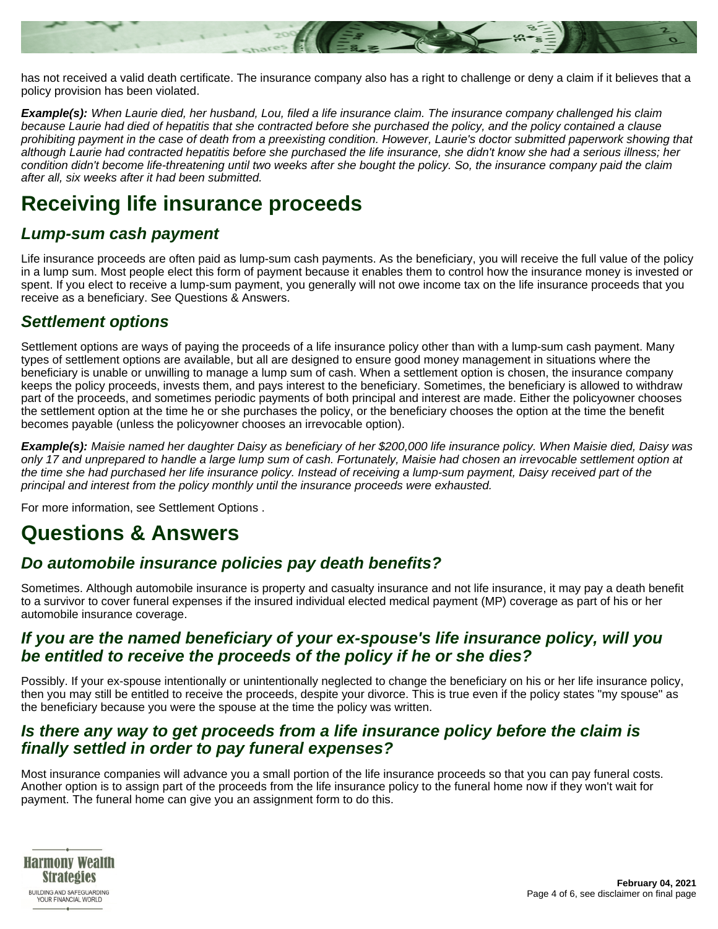

has not received a valid death certificate. The insurance company also has a right to challenge or deny a claim if it believes that a policy provision has been violated.

**Example(s):** When Laurie died, her husband, Lou, filed a life insurance claim. The insurance company challenged his claim because Laurie had died of hepatitis that she contracted before she purchased the policy, and the policy contained a clause prohibiting payment in the case of death from a preexisting condition. However, Laurie's doctor submitted paperwork showing that although Laurie had contracted hepatitis before she purchased the life insurance, she didn't know she had a serious illness; her condition didn't become life-threatening until two weeks after she bought the policy. So, the insurance company paid the claim after all, six weeks after it had been submitted.

## **Receiving life insurance proceeds**

#### **Lump-sum cash payment**

Life insurance proceeds are often paid as lump-sum cash payments. As the beneficiary, you will receive the full value of the policy in a lump sum. Most people elect this form of payment because it enables them to control how the insurance money is invested or spent. If you elect to receive a lump-sum payment, you generally will not owe income tax on the life insurance proceeds that you receive as a beneficiary. See Questions & Answers.

#### **Settlement options**

Settlement options are ways of paying the proceeds of a life insurance policy other than with a lump-sum cash payment. Many types of settlement options are available, but all are designed to ensure good money management in situations where the beneficiary is unable or unwilling to manage a lump sum of cash. When a settlement option is chosen, the insurance company keeps the policy proceeds, invests them, and pays interest to the beneficiary. Sometimes, the beneficiary is allowed to withdraw part of the proceeds, and sometimes periodic payments of both principal and interest are made. Either the policyowner chooses the settlement option at the time he or she purchases the policy, or the beneficiary chooses the option at the time the benefit becomes payable (unless the policyowner chooses an irrevocable option).

**Example(s):** Maisie named her daughter Daisy as beneficiary of her \$200,000 life insurance policy. When Maisie died, Daisy was only 17 and unprepared to handle a large lump sum of cash. Fortunately, Maisie had chosen an irrevocable settlement option at the time she had purchased her life insurance policy. Instead of receiving a lump-sum payment, Daisy received part of the principal and interest from the policy monthly until the insurance proceeds were exhausted.

For more information, see Settlement Options .

## **Questions & Answers**

#### **Do automobile insurance policies pay death benefits?**

Sometimes. Although automobile insurance is property and casualty insurance and not life insurance, it may pay a death benefit to a survivor to cover funeral expenses if the insured individual elected medical payment (MP) coverage as part of his or her automobile insurance coverage.

#### **If you are the named beneficiary of your ex-spouse's life insurance policy, will you be entitled to receive the proceeds of the policy if he or she dies?**

Possibly. If your ex-spouse intentionally or unintentionally neglected to change the beneficiary on his or her life insurance policy, then you may still be entitled to receive the proceeds, despite your divorce. This is true even if the policy states "my spouse" as the beneficiary because you were the spouse at the time the policy was written.

#### **Is there any way to get proceeds from a life insurance policy before the claim is finally settled in order to pay funeral expenses?**

Most insurance companies will advance you a small portion of the life insurance proceeds so that you can pay funeral costs. Another option is to assign part of the proceeds from the life insurance policy to the funeral home now if they won't wait for payment. The funeral home can give you an assignment form to do this.

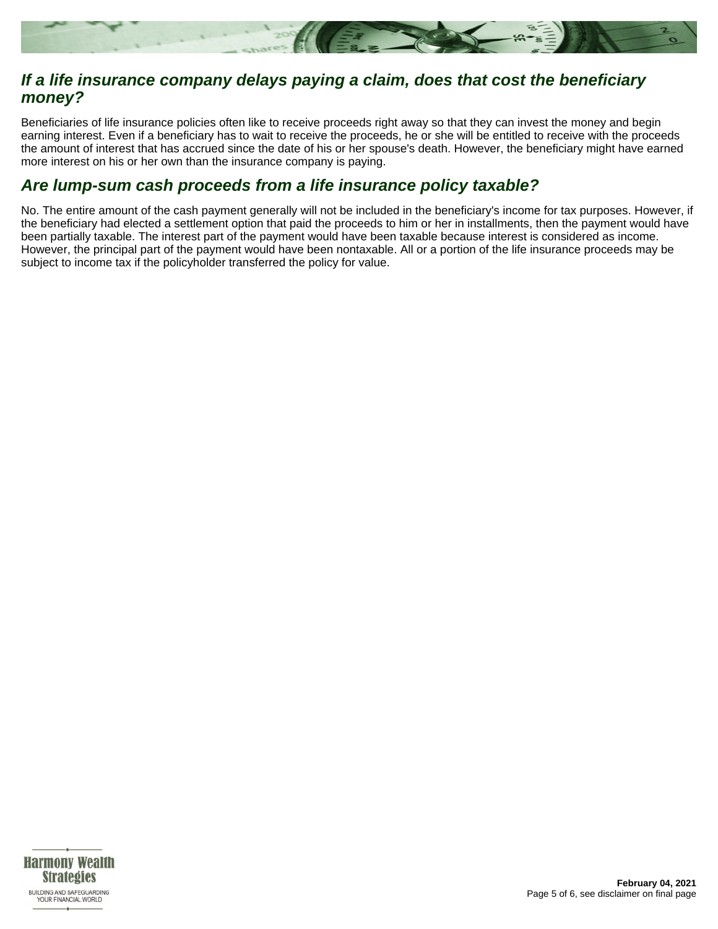

#### **If a life insurance company delays paying a claim, does that cost the beneficiary money?**

Beneficiaries of life insurance policies often like to receive proceeds right away so that they can invest the money and begin earning interest. Even if a beneficiary has to wait to receive the proceeds, he or she will be entitled to receive with the proceeds the amount of interest that has accrued since the date of his or her spouse's death. However, the beneficiary might have earned more interest on his or her own than the insurance company is paying.

#### **Are lump-sum cash proceeds from a life insurance policy taxable?**

No. The entire amount of the cash payment generally will not be included in the beneficiary's income for tax purposes. However, if the beneficiary had elected a settlement option that paid the proceeds to him or her in installments, then the payment would have been partially taxable. The interest part of the payment would have been taxable because interest is considered as income. However, the principal part of the payment would have been nontaxable. All or a portion of the life insurance proceeds may be subject to income tax if the policyholder transferred the policy for value.